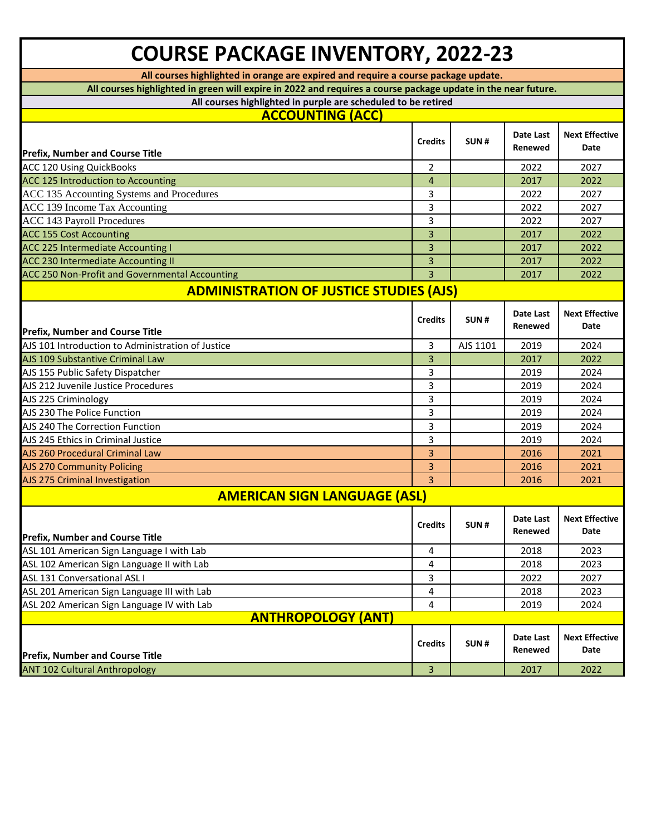| <b>COURSE PACKAGE INVENTORY, 2022-23</b>                                                                      |                |          |                      |                               |
|---------------------------------------------------------------------------------------------------------------|----------------|----------|----------------------|-------------------------------|
| All courses highlighted in orange are expired and require a course package update.                            |                |          |                      |                               |
| All courses highlighted in green will expire in 2022 and requires a course package update in the near future. |                |          |                      |                               |
| All courses highlighted in purple are scheduled to be retired                                                 |                |          |                      |                               |
| <b>ACCOUNTING (ACC)</b>                                                                                       |                |          |                      |                               |
| <b>Prefix, Number and Course Title</b>                                                                        | <b>Credits</b> | SUN#     | Date Last<br>Renewed | <b>Next Effective</b><br>Date |
| <b>ACC 120 Using QuickBooks</b>                                                                               | 2              |          | 2022                 | 2027                          |
| ACC 125 Introduction to Accounting                                                                            | $\overline{4}$ |          | 2017                 | 2022                          |
| ACC 135 Accounting Systems and Procedures                                                                     | 3              |          | 2022                 | 2027                          |
| ACC 139 Income Tax Accounting                                                                                 | 3              |          | 2022                 | 2027                          |
| <b>ACC 143 Payroll Procedures</b>                                                                             | 3              |          | 2022                 | 2027                          |
| <b>ACC 155 Cost Accounting</b>                                                                                | 3              |          | 2017                 | 2022                          |
| <b>ACC 225 Intermediate Accounting I</b>                                                                      | 3              |          | 2017                 | 2022                          |
| ACC 230 Intermediate Accounting II                                                                            | 3              |          | 2017                 | 2022                          |
| ACC 250 Non-Profit and Governmental Accounting                                                                | 3              |          | 2017                 | 2022                          |
| <b>ADMINISTRATION OF JUSTICE STUDIES (AJS)</b>                                                                |                |          |                      |                               |
| <b>Prefix, Number and Course Title</b>                                                                        | <b>Credits</b> | SUN#     | Date Last<br>Renewed | <b>Next Effective</b><br>Date |
| AJS 101 Introduction to Administration of Justice                                                             | 3              | AJS 1101 | 2019                 | 2024                          |
| AJS 109 Substantive Criminal Law                                                                              | 3              |          | 2017                 | 2022                          |
| AJS 155 Public Safety Dispatcher                                                                              | 3              |          | 2019                 | 2024                          |
| AJS 212 Juvenile Justice Procedures                                                                           | 3              |          | 2019                 | 2024                          |
| AJS 225 Criminology                                                                                           | 3              |          | 2019                 | 2024                          |
| AJS 230 The Police Function                                                                                   | 3              |          | 2019                 | 2024                          |
| AJS 240 The Correction Function                                                                               | 3              |          | 2019                 | 2024                          |
| AJS 245 Ethics in Criminal Justice                                                                            | 3              |          | 2019                 | 2024                          |
| AJS 260 Procedural Criminal Law                                                                               | 3              |          | 2016                 | 2021                          |
| <b>AJS 270 Community Policing</b>                                                                             | 3              |          | 2016                 | 2021                          |
| AJS 275 Criminal Investigation                                                                                | $\overline{3}$ |          | 2016                 | 2021                          |
| <b>AMERICAN SIGN LANGUAGE (ASL)</b>                                                                           |                |          |                      |                               |
| <b>Prefix, Number and Course Title</b>                                                                        | <b>Credits</b> | SUN#     | Date Last<br>Renewed | <b>Next Effective</b><br>Date |
| ASL 101 American Sign Language I with Lab                                                                     | 4              |          | 2018                 | 2023                          |
| ASL 102 American Sign Language II with Lab                                                                    | 4              |          | 2018                 | 2023                          |
| ASL 131 Conversational ASL I                                                                                  | 3              |          | 2022                 | 2027                          |
| ASL 201 American Sign Language III with Lab                                                                   | 4              |          | 2018                 | 2023                          |
| ASL 202 American Sign Language IV with Lab                                                                    | 4              |          | 2019                 | 2024                          |
| <b>ANTHROPOLOGY (ANT)</b>                                                                                     |                |          |                      |                               |
| <b>Prefix, Number and Course Title</b>                                                                        | <b>Credits</b> | SUN#     | Date Last<br>Renewed | <b>Next Effective</b><br>Date |
| <b>ANT 102 Cultural Anthropology</b>                                                                          | 3              |          | 2017                 | 2022                          |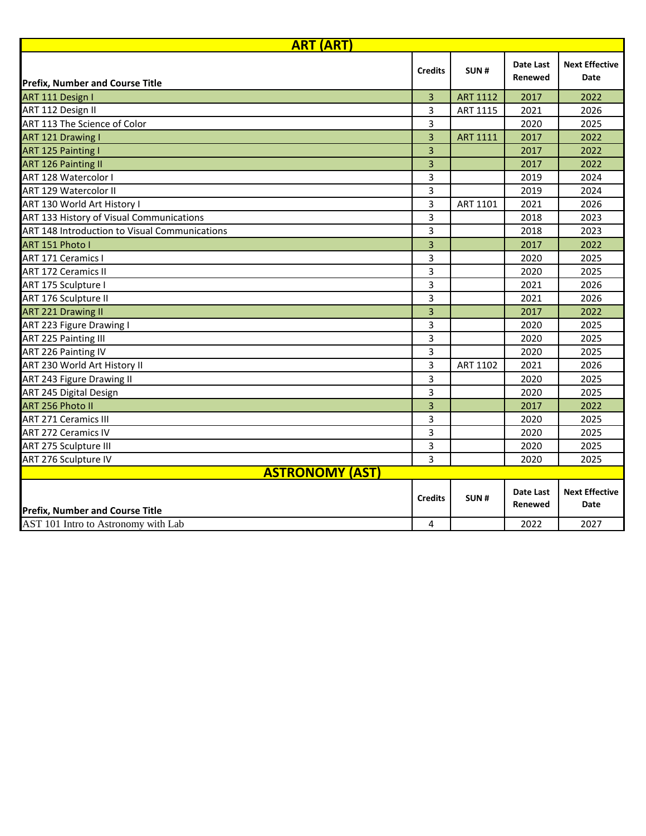| <b>ART (ART)</b>                              |                |                 |                      |                                      |
|-----------------------------------------------|----------------|-----------------|----------------------|--------------------------------------|
| <b>Prefix, Number and Course Title</b>        | <b>Credits</b> | SUN#            | Date Last<br>Renewed | <b>Next Effective</b><br>Date        |
| ART 111 Design I                              | $\overline{3}$ | <b>ART 1112</b> | 2017                 | 2022                                 |
| ART 112 Design II                             | 3              | ART 1115        | 2021                 | 2026                                 |
| ART 113 The Science of Color                  | 3              |                 | 2020                 | 2025                                 |
| <b>ART 121 Drawing I</b>                      | 3              | <b>ART 1111</b> | 2017                 | 2022                                 |
| <b>ART 125 Painting I</b>                     | 3              |                 | 2017                 | 2022                                 |
| <b>ART 126 Painting II</b>                    | 3              |                 | 2017                 | 2022                                 |
| ART 128 Watercolor I                          | 3              |                 | 2019                 | 2024                                 |
| <b>ART 129 Watercolor II</b>                  | 3              |                 | 2019                 | 2024                                 |
| ART 130 World Art History I                   | 3              | ART 1101        | 2021                 | 2026                                 |
| ART 133 History of Visual Communications      | 3              |                 | 2018                 | 2023                                 |
| ART 148 Introduction to Visual Communications | 3              |                 | 2018                 | 2023                                 |
| ART 151 Photo I                               | 3              |                 | 2017                 | 2022                                 |
| <b>ART 171 Ceramics I</b>                     | 3              |                 | 2020                 | 2025                                 |
| <b>ART 172 Ceramics II</b>                    | 3              |                 | 2020                 | 2025                                 |
| ART 175 Sculpture I                           | 3              |                 | 2021                 | 2026                                 |
| ART 176 Sculpture II                          | 3              |                 | 2021                 | 2026                                 |
| <b>ART 221 Drawing II</b>                     | 3              |                 | 2017                 | 2022                                 |
| ART 223 Figure Drawing I                      | 3              |                 | 2020                 | 2025                                 |
| <b>ART 225 Painting III</b>                   | 3              |                 | 2020                 | 2025                                 |
| ART 226 Painting IV                           | 3              |                 | 2020                 | 2025                                 |
| ART 230 World Art History II                  | 3              | ART 1102        | 2021                 | 2026                                 |
| <b>ART 243 Figure Drawing II</b>              | 3              |                 | 2020                 | 2025                                 |
| ART 245 Digital Design                        | 3              |                 | 2020                 | 2025                                 |
| ART 256 Photo II                              | 3              |                 | 2017                 | 2022                                 |
| <b>ART 271 Ceramics III</b>                   | 3              |                 | 2020                 | 2025                                 |
| <b>ART 272 Ceramics IV</b>                    | 3              |                 | 2020                 | 2025                                 |
| ART 275 Sculpture III                         | 3              |                 | 2020                 | 2025                                 |
| ART 276 Sculpture IV                          | 3              |                 | 2020                 | 2025                                 |
| <b>ASTRONOMY (AST)</b>                        |                |                 |                      |                                      |
| <b>Prefix, Number and Course Title</b>        | <b>Credits</b> | SUN#            | Date Last<br>Renewed | <b>Next Effective</b><br><b>Date</b> |
| AST 101 Intro to Astronomy with Lab           | 4              |                 | 2022                 | 2027                                 |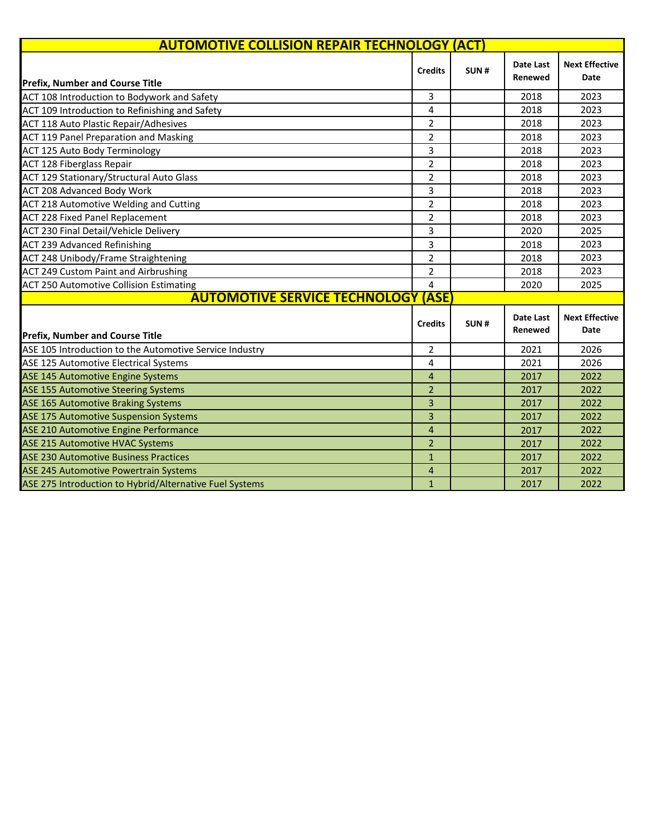| <b>AUTOMOTIVE COLLISION REPAIR TECHNOLOGY (ACT)</b>     |                |      |                                    |                               |
|---------------------------------------------------------|----------------|------|------------------------------------|-------------------------------|
| <b>Prefix, Number and Course Title</b>                  | <b>Credits</b> | SUN# | Date Last<br>Renewed               | <b>Next Effective</b><br>Date |
| ACT 108 Introduction to Bodywork and Safety             | 3              |      | 2018                               | 2023                          |
| ACT 109 Introduction to Refinishing and Safety          | 4              |      | 2018                               | 2023                          |
| <b>ACT 118 Auto Plastic Repair/Adhesives</b>            | $\overline{2}$ |      | 2018                               | 2023                          |
| ACT 119 Panel Preparation and Masking                   | $\overline{2}$ |      | 2018                               | 2023                          |
| <b>ACT 125 Auto Body Terminology</b>                    | 3              |      | 2018                               | 2023                          |
| <b>ACT 128 Fiberglass Repair</b>                        | $\overline{2}$ |      | 2018                               | 2023                          |
| ACT 129 Stationary/Structural Auto Glass                | $\overline{2}$ |      | 2018                               | 2023                          |
| <b>ACT 208 Advanced Body Work</b>                       | 3              |      | 2018                               | 2023                          |
| ACT 218 Automotive Welding and Cutting                  | $\overline{2}$ |      | 2018                               | 2023                          |
| <b>ACT 228 Fixed Panel Replacement</b>                  | $\overline{2}$ |      | 2018                               | 2023                          |
| ACT 230 Final Detail/Vehicle Delivery                   | 3              |      | 2020                               | 2025                          |
| <b>ACT 239 Advanced Refinishing</b>                     | 3              |      | 2018                               | 2023                          |
| ACT 248 Unibody/Frame Straightening                     | $\overline{2}$ |      | 2018                               | 2023                          |
| ACT 249 Custom Paint and Airbrushing                    | $\overline{2}$ |      | 2018                               | 2023                          |
| <b>ACT 250 Automotive Collision Estimating</b>          | 4              |      | 2020                               | 2025                          |
| <b>AUTOMOTIVE SERVICE TECHNOLOGY (ASE</b>               |                |      |                                    |                               |
| <b>Prefix, Number and Course Title</b>                  | <b>Credits</b> | SUN# | <b>Date Last</b><br><b>Renewed</b> | <b>Next Effective</b><br>Date |
| ASE 105 Introduction to the Automotive Service Industry | $\overline{2}$ |      | 2021                               | 2026                          |
| ASE 125 Automotive Electrical Systems                   | 4              |      | 2021                               | 2026                          |
| ASE 145 Automotive Engine Systems                       | 4              |      | 2017                               | 2022                          |
| <b>ASE 155 Automotive Steering Systems</b>              | $\overline{2}$ |      | 2017                               | 2022                          |
| <b>ASE 165 Automotive Braking Systems</b>               | 3              |      | 2017                               | 2022                          |
| <b>ASE 175 Automotive Suspension Systems</b>            | 3              |      | 2017                               | 2022                          |
| ASE 210 Automotive Engine Performance                   | 4              |      | 2017                               | 2022                          |
| <b>ASE 215 Automotive HVAC Systems</b>                  | $\overline{2}$ |      | 2017                               | 2022                          |
| <b>ASE 230 Automotive Business Practices</b>            | $\mathbf{1}$   |      | 2017                               | 2022                          |
| ASE 245 Automotive Powertrain Systems                   | 4              |      | 2017                               | 2022                          |
| ASE 275 Introduction to Hybrid/Alternative Fuel Systems | $\mathbf{1}$   |      | 2017                               | 2022                          |